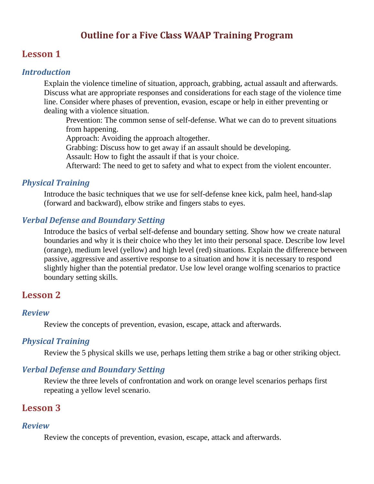# **Outline for a Five Class WAAP Training Program**

## **Lesson 1**

### *Introduction*

Explain the violence timeline of situation, approach, grabbing, actual assault and afterwards. Discuss what are appropriate responses and considerations for each stage of the violence time line. Consider where phases of prevention, evasion, escape or help in either preventing or dealing with a violence situation.

Prevention: The common sense of self-defense. What we can do to prevent situations from happening.

Approach: Avoiding the approach altogether.

Grabbing: Discuss how to get away if an assault should be developing.

Assault: How to fight the assault if that is your choice.

Afterward: The need to get to safety and what to expect from the violent encounter.

## *Physical Training*

Introduce the basic techniques that we use for self-defense knee kick, palm heel, hand-slap (forward and backward), elbow strike and fingers stabs to eyes.

## *Verbal Defense and Boundary Setting*

Introduce the basics of verbal self-defense and boundary setting. Show how we create natural boundaries and why it is their choice who they let into their personal space. Describe low level (orange), medium level (yellow) and high level (red) situations. Explain the difference between passive, aggressive and assertive response to a situation and how it is necessary to respond slightly higher than the potential predator. Use low level orange wolfing scenarios to practice boundary setting skills.

# **Lesson 2**

#### *Review*

Review the concepts of prevention, evasion, escape, attack and afterwards.

### *Physical Training*

Review the 5 physical skills we use, perhaps letting them strike a bag or other striking object.

### *Verbal Defense and Boundary Setting*

Review the three levels of confrontation and work on orange level scenarios perhaps first repeating a yellow level scenario.

# **Lesson 3**

#### *Review*

Review the concepts of prevention, evasion, escape, attack and afterwards.